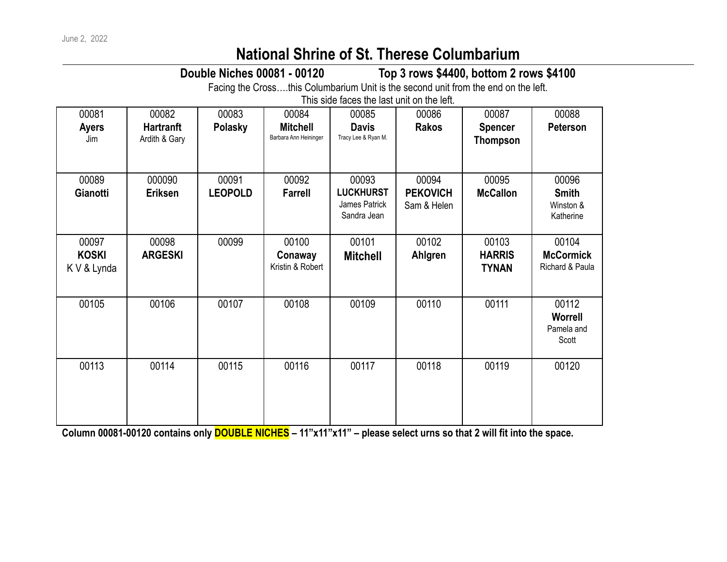## **National Shrine of St. Therese Columbarium**

**Double Niches 00081 - 00120 Top 3 rows \$4400, bottom 2 rows \$4100**

Facing the Cross….this Columbarium Unit is the second unit from the end on the left.

This side faces the last unit on the left.

| 00081<br><b>Ayers</b><br>Jim         | 00082<br><b>Hartranft</b><br>Ardith & Gary | 00083<br>Polasky        | 00084<br><b>Mitchell</b><br>Barbara Ann Heininger | 00085<br><b>Davis</b><br>Tracy Lee & Ryan M.              | 00086<br><b>Rakos</b>                   | 00087<br><b>Spencer</b><br><b>Thompson</b> | 00088<br><b>Peterson</b>                        |
|--------------------------------------|--------------------------------------------|-------------------------|---------------------------------------------------|-----------------------------------------------------------|-----------------------------------------|--------------------------------------------|-------------------------------------------------|
| 00089<br>Gianotti                    | 000090<br><b>Eriksen</b>                   | 00091<br><b>LEOPOLD</b> | 00092<br><b>Farrell</b>                           | 00093<br><b>LUCKHURST</b><br>James Patrick<br>Sandra Jean | 00094<br><b>PEKOVICH</b><br>Sam & Helen | 00095<br><b>McCallon</b>                   | 00096<br><b>Smith</b><br>Winston &<br>Katherine |
| 00097<br><b>KOSKI</b><br>K V & Lynda | 00098<br><b>ARGESKI</b>                    | 00099                   | 00100<br>Conaway<br>Kristin & Robert              | 00101<br><b>Mitchell</b>                                  | 00102<br>Ahlgren                        | 00103<br><b>HARRIS</b><br><b>TYNAN</b>     | 00104<br><b>McCormick</b><br>Richard & Paula    |
| 00105                                | 00106                                      | 00107                   | 00108                                             | 00109                                                     | 00110                                   | 00111                                      | 00112<br><b>Worrell</b><br>Pamela and<br>Scott  |
| 00113                                | 00114                                      | 00115                   | 00116                                             | 00117                                                     | 00118                                   | 00119                                      | 00120                                           |

**Column 00081-00120 contains only DOUBLE NICHES – 11"x11"x11" – please select urns so that 2 will fit into the space.**